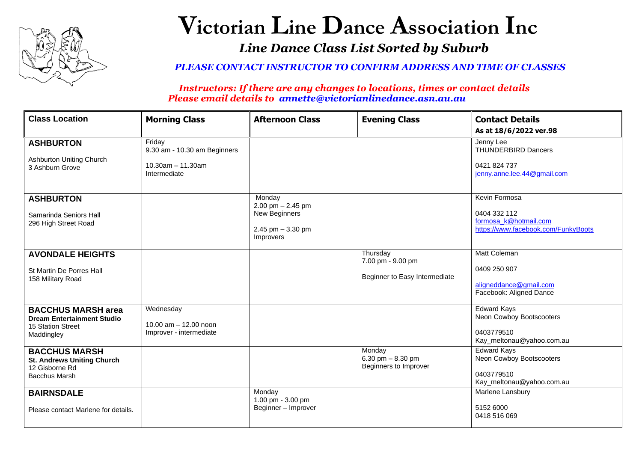

## **Victorian Line Dance Association Inc** *Line Dance Class List Sorted by Suburb*

*PLEASE CONTACT INSTRUCTOR TO CONFIRM ADDRESS AND TIME OF CLASSES*

*Instructors: If there are any changes to locations, times or contact details Please email details to annette@victorianlinedance.asn.au.au*

| <b>Class Location</b>                                                                               | <b>Morning Class</b>                                                              | <b>Afternoon Class</b>                                                                   | <b>Evening Class</b>                                           | <b>Contact Details</b><br>As at 18/6/2022 ver.98                                              |
|-----------------------------------------------------------------------------------------------------|-----------------------------------------------------------------------------------|------------------------------------------------------------------------------------------|----------------------------------------------------------------|-----------------------------------------------------------------------------------------------|
| <b>ASHBURTON</b><br><b>Ashburton Uniting Church</b><br>3 Ashburn Grove                              | Friday<br>9.30 am - 10.30 am Beginners<br>$10.30$ am $- 11.30$ am<br>Intermediate |                                                                                          |                                                                | Jenny Lee<br><b>THUNDERBIRD Dancers</b><br>0421 824 737<br>jenny.anne.lee.44@gmail.com        |
| <b>ASHBURTON</b><br>Samarinda Seniors Hall<br>296 High Street Road                                  |                                                                                   | Monday<br>2.00 pm $- 2.45$ pm<br><b>New Beginners</b><br>2.45 pm $-3.30$ pm<br>Improvers |                                                                | Kevin Formosa<br>0404 332 112<br>formosa_k@hotmail.com<br>https://www.facebook.com/FunkyBoots |
| <b>AVONDALE HEIGHTS</b><br>St Martin De Porres Hall<br>158 Military Road                            |                                                                                   |                                                                                          | Thursday<br>7.00 pm - 9.00 pm<br>Beginner to Easy Intermediate | <b>Matt Coleman</b><br>0409 250 907<br>aligneddance@gmail.com<br>Facebook: Aligned Dance      |
| <b>BACCHUS MARSH area</b><br><b>Dream Entertainment Studio</b><br>15 Station Street<br>Maddingley   | Wednesday<br>10.00 am - 12.00 noon<br>Improver - intermediate                     |                                                                                          |                                                                | <b>Edward Kays</b><br>Neon Cowboy Bootscooters<br>0403779510<br>Kay_meltonau@yahoo.com.au     |
| <b>BACCHUS MARSH</b><br><b>St. Andrews Uniting Church</b><br>12 Gisborne Rd<br><b>Bacchus Marsh</b> |                                                                                   |                                                                                          | Monday<br>6.30 pm $- 8.30$ pm<br>Beginners to Improver         | <b>Edward Kays</b><br>Neon Cowboy Bootscooters<br>0403779510<br>Kay_meltonau@yahoo.com.au     |
| <b>BAIRNSDALE</b><br>Please contact Marlene for details.                                            |                                                                                   | Monday<br>1.00 pm - 3.00 pm<br>Beginner - Improver                                       |                                                                | Marlene Lansbury<br>5152 6000<br>0418 516 069                                                 |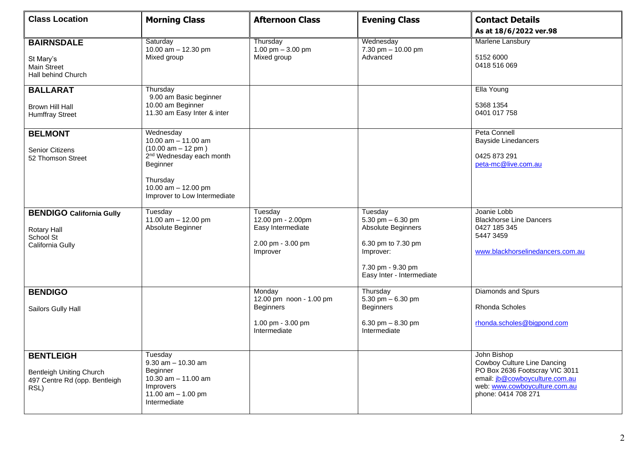| <b>Class Location</b>                                                                        | <b>Morning Class</b>                                                                                                                                                                | <b>Afternoon Class</b>                                                                     | <b>Evening Class</b>                                                                                                                     | <b>Contact Details</b><br>As at 18/6/2022 ver.98                                                                                                                       |
|----------------------------------------------------------------------------------------------|-------------------------------------------------------------------------------------------------------------------------------------------------------------------------------------|--------------------------------------------------------------------------------------------|------------------------------------------------------------------------------------------------------------------------------------------|------------------------------------------------------------------------------------------------------------------------------------------------------------------------|
| <b>BAIRNSDALE</b><br>St Mary's<br><b>Main Street</b><br>Hall behind Church                   | Saturday<br>10.00 $am - 12.30 pm$<br>Mixed group                                                                                                                                    | Thursday<br>1.00 pm $-3.00$ pm<br>Mixed group                                              | Wednesday<br>7.30 pm - 10.00 pm<br>Advanced                                                                                              | Marlene Lansbury<br>5152 6000<br>0418 516 069                                                                                                                          |
| <b>BALLARAT</b><br>Brown Hill Hall<br><b>Humffray Street</b>                                 | Thursday<br>9.00 am Basic beginner<br>10.00 am Beginner<br>11.30 am Easy Inter & inter                                                                                              |                                                                                            |                                                                                                                                          | Ella Young<br>5368 1354<br>0401 017 758                                                                                                                                |
| <b>BELMONT</b><br><b>Senior Citizens</b><br>52 Thomson Street                                | Wednesday<br>10.00 $am - 11.00$ am<br>$(10.00 am - 12 pm)$<br>2 <sup>nd</sup> Wednesday each month<br>Beginner<br>Thursday<br>10.00 $am - 12.00$ pm<br>Improver to Low Intermediate |                                                                                            |                                                                                                                                          | Peta Connell<br><b>Bayside Linedancers</b><br>0425 873 291<br>peta-mc@live.com.au                                                                                      |
| <b>BENDIGO California Gully</b><br>Rotary Hall<br>School St<br>California Gully              | Tuesday<br>11.00 $am - 12.00$ pm<br>Absolute Beginner                                                                                                                               | Tuesday<br>12.00 pm - 2.00pm<br>Easy Intermediate<br>2.00 pm - 3.00 pm<br>Improver         | Tuesday<br>5.30 pm $-6.30$ pm<br>Absolute Beginners<br>6.30 pm to 7.30 pm<br>Improver:<br>7.30 pm - 9.30 pm<br>Easy Inter - Intermediate | Joanie Lobb<br><b>Blackhorse Line Dancers</b><br>0427 185 345<br>5447 3459<br>www.blackhorselinedancers.com.au                                                         |
| <b>BENDIGO</b><br>Sailors Gully Hall                                                         |                                                                                                                                                                                     | Monday<br>12.00 pm noon - 1.00 pm<br><b>Beginners</b><br>1.00 pm - 3.00 pm<br>Intermediate | Thursday<br>5.30 pm $-6.30$ pm<br><b>Beginners</b><br>6.30 pm $-8.30$ pm<br>Intermediate                                                 | Diamonds and Spurs<br>Rhonda Scholes<br>rhonda.scholes@bigpond.com                                                                                                     |
| <b>BENTLEIGH</b><br><b>Bentleigh Uniting Church</b><br>497 Centre Rd (opp. Bentleigh<br>RSL) | Tuesday<br>$9.30$ am $- 10.30$ am<br>Beginner<br>10.30 $am - 11.00$ am<br>Improvers<br>11.00 $am - 1.00$ pm<br>Intermediate                                                         |                                                                                            |                                                                                                                                          | John Bishop<br>Cowboy Culture Line Dancing<br>PO Box 2636 Footscray VIC 3011<br>email: jb@cowboyculture.com.au<br>web: www.cowboyculture.com.au<br>phone: 0414 708 271 |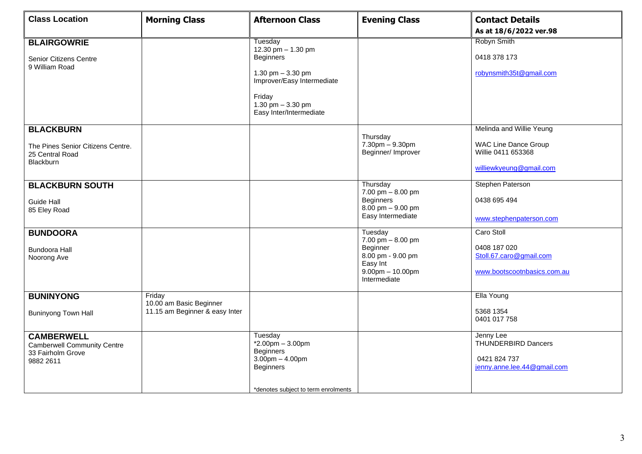| <b>Class Location</b>                                                                     | <b>Morning Class</b>              | <b>Afternoon Class</b>                                                                                                                                           | <b>Evening Class</b>                                                                | <b>Contact Details</b>                                                                 |
|-------------------------------------------------------------------------------------------|-----------------------------------|------------------------------------------------------------------------------------------------------------------------------------------------------------------|-------------------------------------------------------------------------------------|----------------------------------------------------------------------------------------|
|                                                                                           |                                   |                                                                                                                                                                  |                                                                                     | As at 18/6/2022 ver.98                                                                 |
| <b>BLAIRGOWRIE</b><br>Senior Citizens Centre<br>9 William Road                            |                                   | Tuesday<br>12.30 pm - 1.30 pm<br><b>Beginners</b><br>1.30 pm $-3.30$ pm<br>Improver/Easy Intermediate<br>Friday<br>1.30 pm $-3.30$ pm<br>Easy Inter/Intermediate |                                                                                     | Robyn Smith<br>0418 378 173<br>robynsmith35t@gmail.com                                 |
|                                                                                           |                                   |                                                                                                                                                                  |                                                                                     | Melinda and Willie Yeung                                                               |
| <b>BLACKBURN</b><br>The Pines Senior Citizens Centre.<br>25 Central Road<br>Blackburn     |                                   |                                                                                                                                                                  | Thursday<br>7.30pm - 9.30pm<br>Beginner/ Improver                                   | <b>WAC Line Dance Group</b><br>Willie 0411 653368<br>williewkyeung@gmail.com           |
| <b>BLACKBURN SOUTH</b>                                                                    |                                   |                                                                                                                                                                  | Thursday<br>7.00 pm $-$ 8.00 pm                                                     | Stephen Paterson                                                                       |
| <b>Guide Hall</b><br>85 Eley Road                                                         |                                   |                                                                                                                                                                  | <b>Beginners</b><br>$8.00$ pm $-9.00$ pm<br>Easy Intermediate                       | 0438 695 494<br>www.stephenpaterson.com                                                |
| <b>BUNDOORA</b>                                                                           |                                   |                                                                                                                                                                  | Tuesday<br>$7.00 \text{ pm} - 8.00 \text{ pm}$                                      | Caro Stoll                                                                             |
| <b>Bundoora Hall</b><br>Noorong Ave                                                       |                                   |                                                                                                                                                                  | Beginner<br>8.00 pm - 9.00 pm<br>Easy Int<br>$9.00$ pm $- 10.00$ pm<br>Intermediate | 0408 187 020<br>Stoll.67.caro@gmail.com<br>www.bootscootnbasics.com.au                 |
| <b>BUNINYONG</b>                                                                          | Friday<br>10.00 am Basic Beginner |                                                                                                                                                                  |                                                                                     | Ella Young                                                                             |
| <b>Buninyong Town Hall</b>                                                                | 11.15 am Beginner & easy Inter    |                                                                                                                                                                  |                                                                                     | 5368 1354<br>0401 017 758                                                              |
| <b>CAMBERWELL</b><br><b>Camberwell Community Centre</b><br>33 Fairholm Grove<br>9882 2611 |                                   | Tuesday<br>$*2.00$ pm $-3.00$ pm<br><b>Beginners</b><br>$3.00$ pm $- 4.00$ pm<br><b>Beginners</b><br>*denotes subject to term enrolments                         |                                                                                     | Jenny Lee<br><b>THUNDERBIRD Dancers</b><br>0421 824 737<br>jenny.anne.lee.44@gmail.com |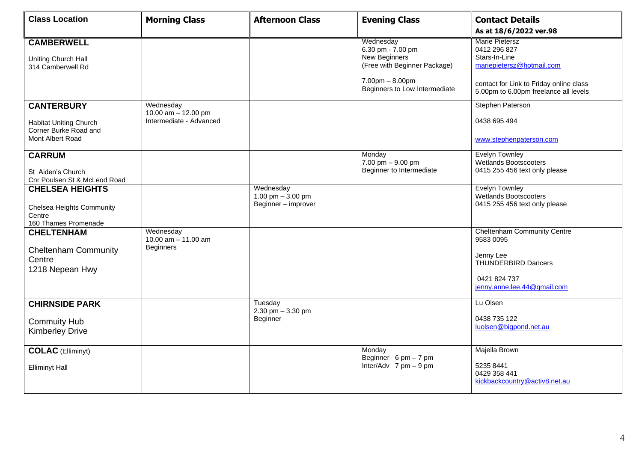| <b>Class Location</b>                                                      | <b>Morning Class</b>                                   | <b>Afternoon Class</b>                                 | <b>Evening Class</b>                                                            | <b>Contact Details</b><br>As at 18/6/2022 ver.98                                       |
|----------------------------------------------------------------------------|--------------------------------------------------------|--------------------------------------------------------|---------------------------------------------------------------------------------|----------------------------------------------------------------------------------------|
| <b>CAMBERWELL</b><br>Uniting Church Hall<br>314 Camberwell Rd              |                                                        |                                                        | Wednesday<br>6.30 pm - 7.00 pm<br>New Beginners<br>(Free with Beginner Package) | <b>Marie Pietersz</b><br>0412 296 827<br>Stars-In-Line<br>mariepietersz@hotmail.com    |
|                                                                            |                                                        |                                                        | $7.00pm - 8.00pm$<br>Beginners to Low Intermediate                              | contact for Link to Friday online class<br>5.00pm to 6.00pm freelance all levels       |
| <b>CANTERBURY</b>                                                          | Wednesday<br>10.00 am - 12.00 pm                       |                                                        |                                                                                 | Stephen Paterson                                                                       |
| <b>Habitat Uniting Church</b><br>Corner Burke Road and<br>Mont Albert Road | Intermediate - Advanced                                |                                                        |                                                                                 | 0438 695 494                                                                           |
|                                                                            |                                                        |                                                        |                                                                                 | www.stephenpaterson.com                                                                |
| <b>CARRUM</b><br>St Aiden's Church                                         |                                                        |                                                        | Monday<br>7.00 pm - 9.00 pm<br>Beginner to Intermediate                         | Evelyn Townley<br><b>Wetlands Bootscooters</b><br>0415 255 456 text only please        |
| Cnr Poulsen St & McLeod Road<br><b>CHELSEA HEIGHTS</b>                     |                                                        | Wednesday<br>1.00 pm $-3.00$ pm<br>Beginner - improver |                                                                                 | <b>Evelyn Townley</b><br><b>Wetlands Bootscooters</b><br>0415 255 456 text only please |
| <b>Chelsea Heights Community</b><br>Centre<br>160 Thames Promenade         |                                                        |                                                        |                                                                                 |                                                                                        |
| <b>CHELTENHAM</b>                                                          | Wednesday<br>10.00 $am - 11.00$ am<br><b>Beginners</b> |                                                        |                                                                                 | <b>Cheltenham Community Centre</b><br>9583 0095                                        |
| <b>Cheltenham Community</b><br>Centre<br>1218 Nepean Hwy                   |                                                        |                                                        |                                                                                 | Jenny Lee<br><b>THUNDERBIRD Dancers</b>                                                |
|                                                                            |                                                        |                                                        |                                                                                 | 0421 824 737<br>jenny.anne.lee.44@gmail.com                                            |
| <b>CHIRNSIDE PARK</b>                                                      |                                                        | Tuesday<br>2.30 pm $-3.30$ pm                          |                                                                                 | Lu Olsen                                                                               |
| <b>Commuity Hub</b><br><b>Kimberley Drive</b>                              |                                                        | Beginner                                               |                                                                                 | 0438 735 122<br>luolsen@bigpond.net.au                                                 |
| <b>COLAC</b> (Elliminyt)                                                   |                                                        |                                                        | Monday<br>Beginner $6 \text{ pm} - 7 \text{ pm}$                                | Majella Brown                                                                          |
| <b>Elliminyt Hall</b>                                                      |                                                        |                                                        | Inter/Adv $7 \text{ pm} - 9 \text{ pm}$                                         | 5235 8441<br>0429 358 441<br>kickbackcountry@activ8.net.au                             |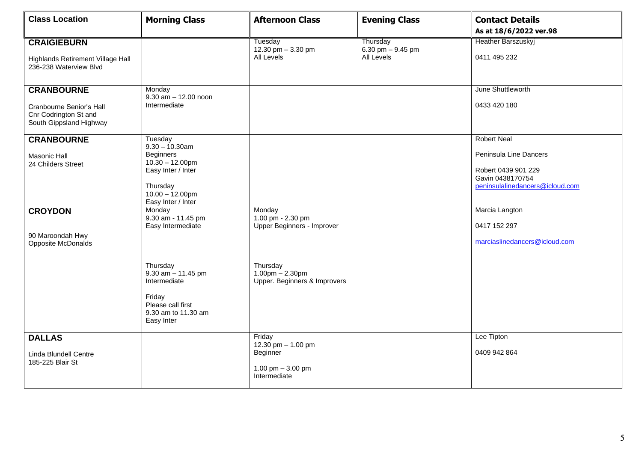| <b>Class Location</b>                                                                             | <b>Morning Class</b>                                                                                                                                 | <b>Afternoon Class</b>                                                         | <b>Evening Class</b>                          | <b>Contact Details</b><br>As at 18/6/2022 ver.98                                                                           |
|---------------------------------------------------------------------------------------------------|------------------------------------------------------------------------------------------------------------------------------------------------------|--------------------------------------------------------------------------------|-----------------------------------------------|----------------------------------------------------------------------------------------------------------------------------|
| <b>CRAIGIEBURN</b><br>Highlands Retirement Village Hall<br>236-238 Waterview Blvd                 |                                                                                                                                                      | Tuesday<br>12.30 pm $-$ 3.30 pm<br>All Levels                                  | Thursday<br>6.30 pm $-$ 9.45 pm<br>All Levels | <b>Heather Barszuskyj</b><br>0411 495 232                                                                                  |
| <b>CRANBOURNE</b><br>Cranbourne Senior's Hall<br>Cnr Codrington St and<br>South Gippsland Highway | Monday<br>$9.30$ am $- 12.00$ noon<br>Intermediate                                                                                                   |                                                                                |                                               | June Shuttleworth<br>0433 420 180                                                                                          |
| <b>CRANBOURNE</b><br><b>Masonic Hall</b><br>24 Childers Street                                    | Tuesday<br>$9.30 - 10.30$ am<br><b>Beginners</b><br>$10.30 - 12.00$ pm<br>Easy Inter / Inter<br>Thursday<br>$10.00 - 12.00$ pm<br>Easy Inter / Inter |                                                                                |                                               | <b>Robert Neal</b><br>Peninsula Line Dancers<br>Robert 0439 901 229<br>Gavin 0438170754<br>peninsulalinedancers@icloud.com |
| <b>CROYDON</b><br>90 Maroondah Hwy<br>Opposite McDonalds                                          | Monday<br>9.30 am - 11.45 pm<br>Easy Intermediate                                                                                                    | Monday<br>1.00 pm - 2.30 pm<br>Upper Beginners - Improver                      |                                               | Marcia Langton<br>0417 152 297<br>marciaslinedancers@icloud.com                                                            |
|                                                                                                   | Thursday<br>$9.30$ am $- 11.45$ pm<br>Intermediate<br>Friday<br>Please call first<br>9.30 am to 11.30 am<br>Easy Inter                               | Thursday<br>$1.00 \text{pm} - 2.30 \text{pm}$<br>Upper. Beginners & Improvers  |                                               |                                                                                                                            |
| <b>DALLAS</b><br>Linda Blundell Centre<br>185-225 Blair St                                        |                                                                                                                                                      | Friday<br>12.30 pm - 1.00 pm<br>Beginner<br>1.00 pm $-3.00$ pm<br>Intermediate |                                               | Lee Tipton<br>0409 942 864                                                                                                 |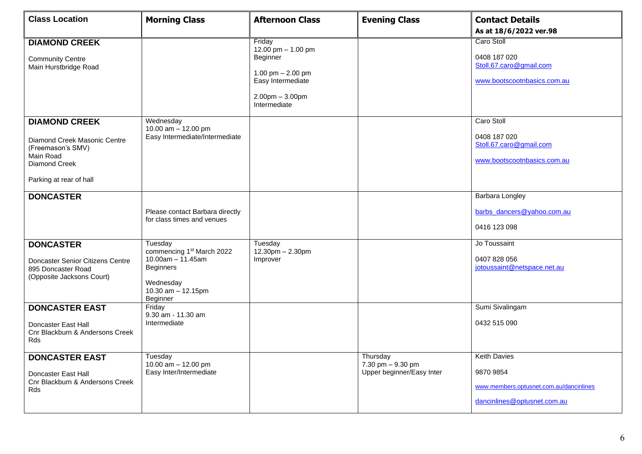| <b>Class Location</b>                                                                                                              | <b>Morning Class</b>                                                                                                                         | <b>Afternoon Class</b>                                                                                                       | <b>Evening Class</b>                                       | <b>Contact Details</b>                                                                                     |
|------------------------------------------------------------------------------------------------------------------------------------|----------------------------------------------------------------------------------------------------------------------------------------------|------------------------------------------------------------------------------------------------------------------------------|------------------------------------------------------------|------------------------------------------------------------------------------------------------------------|
|                                                                                                                                    |                                                                                                                                              |                                                                                                                              |                                                            | As at 18/6/2022 ver.98                                                                                     |
| <b>DIAMOND CREEK</b><br><b>Community Centre</b><br>Main Hurstbridge Road                                                           |                                                                                                                                              | Friday<br>12.00 pm - 1.00 pm<br>Beginner<br>1.00 pm $- 2.00$ pm<br>Easy Intermediate<br>$2.00$ pm $-3.00$ pm<br>Intermediate |                                                            | Caro Stoll<br>0408 187 020<br>Stoll.67.caro@gmail.com<br>www.bootscootnbasics.com.au                       |
| <b>DIAMOND CREEK</b><br>Diamond Creek Masonic Centre<br>(Freemason's SMV)<br>Main Road<br>Diamond Creek<br>Parking at rear of hall | Wednesday<br>10.00 am - 12.00 pm<br>Easy Intermediate/Intermediate                                                                           |                                                                                                                              |                                                            | Caro Stoll<br>0408 187 020<br>Stoll.67.caro@gmail.com<br>www.bootscootnbasics.com.au                       |
| <b>DONCASTER</b>                                                                                                                   | Please contact Barbara directly<br>for class times and venues                                                                                |                                                                                                                              |                                                            | Barbara Longley<br>barbs_dancers@yahoo.com.au<br>0416 123 098                                              |
| <b>DONCASTER</b><br>Doncaster Senior Citizens Centre<br>895 Doncaster Road<br>(Opposite Jacksons Court)                            | Tuesday<br>commencing 1 <sup>st</sup> March 2022<br>$10.00am - 11.45am$<br><b>Beginners</b><br>Wednesday<br>10.30 $am - 12.15pm$<br>Beginner | Tuesday<br>12.30pm - 2.30pm<br>Improver                                                                                      |                                                            | Jo Toussaint<br>0407 828 056<br>jotoussaint@netspace.net.au                                                |
| <b>DONCASTER EAST</b><br>Doncaster East Hall<br>Cnr Blackburn & Andersons Creek<br>Rds                                             | Friday<br>9.30 am - 11.30 am<br>Intermediate                                                                                                 |                                                                                                                              |                                                            | Sumi Sivalingam<br>0432 515 090                                                                            |
| <b>DONCASTER EAST</b><br>Doncaster East Hall<br>Cnr Blackburn & Andersons Creek<br>Rds                                             | Tuesday<br>10.00 $am - 12.00 pm$<br>Easy Inter/Intermediate                                                                                  |                                                                                                                              | Thursday<br>7.30 pm - 9.30 pm<br>Upper beginner/Easy Inter | <b>Keith Davies</b><br>9870 9854<br>www.members.optusnet.com.au/dancinlines<br>dancinlines@optusnet.com.au |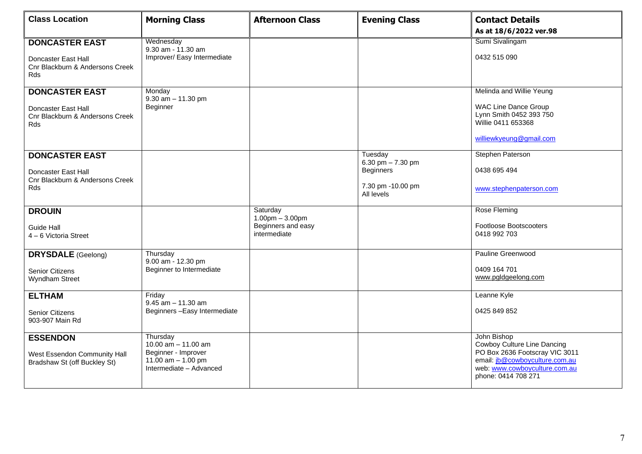| <b>Class Location</b>                                                                         | <b>Morning Class</b>                                                                                        | <b>Afternoon Class</b>                                              | <b>Evening Class</b>                                                                  | <b>Contact Details</b><br>As at 18/6/2022 ver.98                                                                                                                       |
|-----------------------------------------------------------------------------------------------|-------------------------------------------------------------------------------------------------------------|---------------------------------------------------------------------|---------------------------------------------------------------------------------------|------------------------------------------------------------------------------------------------------------------------------------------------------------------------|
| <b>DONCASTER EAST</b><br>Doncaster East Hall<br>Cnr Blackburn & Andersons Creek<br><b>Rds</b> | Wednesday<br>9.30 am - 11.30 am<br>Improver/ Easy Intermediate                                              |                                                                     |                                                                                       | Sumi Sivalingam<br>0432 515 090                                                                                                                                        |
| <b>DONCASTER EAST</b><br>Doncaster East Hall<br>Cnr Blackburn & Andersons Creek<br>Rds        | Monday<br>$9.30$ am $- 11.30$ pm<br>Beginner                                                                |                                                                     |                                                                                       | Melinda and Willie Yeung<br><b>WAC Line Dance Group</b><br>Lynn Smith 0452 393 750<br>Willie 0411 653368<br>williewkyeung@gmail.com                                    |
| <b>DONCASTER EAST</b><br>Doncaster East Hall<br>Cnr Blackburn & Andersons Creek<br><b>Rds</b> |                                                                                                             |                                                                     | Tuesday<br>6.30 pm $- 7.30$ pm<br><b>Beginners</b><br>7.30 pm -10.00 pm<br>All levels | Stephen Paterson<br>0438 695 494<br>www.stephenpaterson.com                                                                                                            |
| <b>DROUIN</b><br>Guide Hall<br>4 - 6 Victoria Street                                          |                                                                                                             | Saturday<br>$1.00pm - 3.00pm$<br>Beginners and easy<br>intermediate |                                                                                       | Rose Fleming<br><b>Footloose Bootscooters</b><br>0418 992 703                                                                                                          |
| <b>DRYSDALE</b> (Geelong)<br><b>Senior Citizens</b><br>Wyndham Street                         | Thursday<br>9.00 am - 12.30 pm<br>Beginner to Intermediate                                                  |                                                                     |                                                                                       | Pauline Greenwood<br>0409 164 701<br>www.pgldgeelong.com                                                                                                               |
| <b>ELTHAM</b><br><b>Senior Citizens</b><br>903-907 Main Rd                                    | Friday<br>$9.45$ am $- 11.30$ am<br>Beginners-Easy Intermediate                                             |                                                                     |                                                                                       | Leanne Kyle<br>0425 849 852                                                                                                                                            |
| <b>ESSENDON</b><br>West Essendon Community Hall<br>Bradshaw St (off Buckley St)               | Thursdav<br>10.00 $am - 11.00$ am<br>Beginner - Improver<br>11.00 $am - 1.00$ pm<br>Intermediate - Advanced |                                                                     |                                                                                       | John Bishop<br>Cowboy Culture Line Dancing<br>PO Box 2636 Footscray VIC 3011<br>email: jb@cowboyculture.com.au<br>web: www.cowboyculture.com.au<br>phone: 0414 708 271 |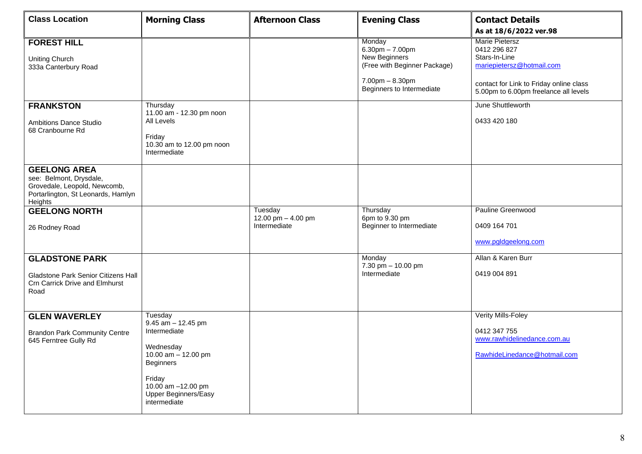| <b>Class Location</b>                                                                                                           | <b>Morning Class</b>                                                                                                                                                                    | <b>Afternoon Class</b>                        | <b>Evening Class</b>                                                                                                                   | <b>Contact Details</b><br>As at 18/6/2022 ver.98                                                                                                                        |
|---------------------------------------------------------------------------------------------------------------------------------|-----------------------------------------------------------------------------------------------------------------------------------------------------------------------------------------|-----------------------------------------------|----------------------------------------------------------------------------------------------------------------------------------------|-------------------------------------------------------------------------------------------------------------------------------------------------------------------------|
| <b>FOREST HILL</b><br><b>Uniting Church</b><br>333a Canterbury Road                                                             |                                                                                                                                                                                         |                                               | Monday<br>$6.30$ pm $- 7.00$ pm<br>New Beginners<br>(Free with Beginner Package)<br>$7.00$ pm $- 8.30$ pm<br>Beginners to Intermediate | <b>Marie Pietersz</b><br>0412 296 827<br>Stars-In-Line<br>mariepietersz@hotmail.com<br>contact for Link to Friday online class<br>5.00pm to 6.00pm freelance all levels |
| <b>FRANKSTON</b><br><b>Ambitions Dance Studio</b><br>68 Cranbourne Rd                                                           | Thursday<br>11.00 am - 12.30 pm noon<br>All Levels<br>Friday<br>10.30 am to 12.00 pm noon<br>Intermediate                                                                               |                                               |                                                                                                                                        | June Shuttleworth<br>0433 420 180                                                                                                                                       |
| <b>GEELONG AREA</b><br>see: Belmont, Drysdale,<br>Grovedale, Leopold, Newcomb,<br>Portarlington, St Leonards, Hamlyn<br>Heights |                                                                                                                                                                                         |                                               |                                                                                                                                        |                                                                                                                                                                         |
| <b>GEELONG NORTH</b><br>26 Rodney Road                                                                                          |                                                                                                                                                                                         | Tuesday<br>12.00 pm - 4.00 pm<br>Intermediate | Thursday<br>6pm to 9.30 pm<br>Beginner to Intermediate                                                                                 | Pauline Greenwood<br>0409 164 701<br>www.pgldgeelong.com                                                                                                                |
| <b>GLADSTONE PARK</b><br><b>Gladstone Park Senior Citizens Hall</b><br><b>Crn Carrick Drive and Elmhurst</b><br>Road            |                                                                                                                                                                                         |                                               | Monday<br>7.30 pm - 10.00 pm<br>Intermediate                                                                                           | Allan & Karen Burr<br>0419 004 891                                                                                                                                      |
| <b>GLEN WAVERLEY</b><br><b>Brandon Park Community Centre</b><br>645 Ferntree Gully Rd                                           | Tuesday<br>$9.45$ am $-12.45$ pm<br>Intermediate<br>Wednesday<br>10.00 am - 12.00 pm<br><b>Beginners</b><br>Friday<br>10.00 am -12.00 pm<br><b>Upper Beginners/Easy</b><br>intermediate |                                               |                                                                                                                                        | Verity Mills-Foley<br>0412 347 755<br>www.rawhidelinedance.com.au<br>RawhideLinedance@hotmail.com                                                                       |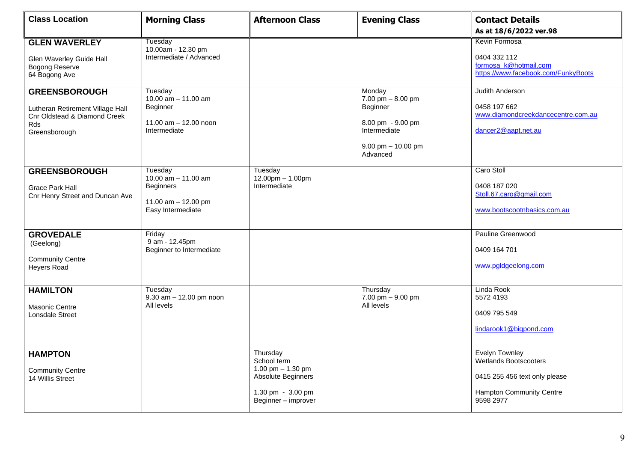| <b>Class Location</b>                                                                                            | <b>Morning Class</b>                                                                               | <b>Afternoon Class</b>                                                                                           | <b>Evening Class</b>                                                                                                | <b>Contact Details</b>                                                                                                   |
|------------------------------------------------------------------------------------------------------------------|----------------------------------------------------------------------------------------------------|------------------------------------------------------------------------------------------------------------------|---------------------------------------------------------------------------------------------------------------------|--------------------------------------------------------------------------------------------------------------------------|
|                                                                                                                  |                                                                                                    |                                                                                                                  |                                                                                                                     | As at 18/6/2022 ver.98                                                                                                   |
| <b>GLEN WAVERLEY</b><br>Glen Waverley Guide Hall<br><b>Bogong Reserve</b><br>64 Bogong Ave                       | Tuesday<br>10.00am - 12.30 pm<br>Intermediate / Advanced                                           |                                                                                                                  |                                                                                                                     | Kevin Formosa<br>0404 332 112<br>formosa k@hotmail.com<br>https://www.facebook.com/FunkyBoots                            |
| <b>GREENSBOROUGH</b><br>Lutheran Retirement Village Hall<br>Cnr Oldstead & Diamond Creek<br>Rds<br>Greensborough | Tuesday<br>10.00 $am - 11.00$ am<br>Beginner<br>11.00 $am - 12.00$ noon<br>Intermediate            |                                                                                                                  | Monday<br>7.00 pm $-8.00$ pm<br>Beginner<br>8.00 pm - 9.00 pm<br>Intermediate<br>$9.00$ pm $- 10.00$ pm<br>Advanced | <b>Judith Anderson</b><br>0458 197 662<br>www.diamondcreekdancecentre.com.au<br>dancer2@aapt.net.au                      |
| <b>GREENSBOROUGH</b><br><b>Grace Park Hall</b><br>Cnr Henry Street and Duncan Ave                                | Tuesday<br>10.00 $am - 11.00$ am<br><b>Beginners</b><br>11.00 $am - 12.00$ pm<br>Easy Intermediate | Tuesday<br>12.00pm - 1.00pm<br>Intermediate                                                                      |                                                                                                                     | Caro Stoll<br>0408 187 020<br>Stoll.67.caro@gmail.com<br>www.bootscootnbasics.com.au                                     |
| <b>GROVEDALE</b><br>(Geelong)<br><b>Community Centre</b><br>Heyers Road                                          | Friday<br>9 am - 12.45pm<br>Beginner to Intermediate                                               |                                                                                                                  |                                                                                                                     | Pauline Greenwood<br>0409 164 701<br>www.pgldgeelong.com                                                                 |
| <b>HAMILTON</b><br>Masonic Centre<br>Lonsdale Street                                                             | Tuesday<br>$9.30$ am $- 12.00$ pm noon<br>All levels                                               |                                                                                                                  | Thursday<br>7.00 pm $-9.00$ pm<br>All levels                                                                        | Linda Rook<br>5572 4193<br>0409 795 549<br>lindarook1@bigpond.com                                                        |
| <b>HAMPTON</b><br><b>Community Centre</b><br>14 Willis Street                                                    |                                                                                                    | Thursday<br>School term<br>1.00 pm $-$ 1.30 pm<br>Absolute Beginners<br>1.30 pm - 3.00 pm<br>Beginner - improver |                                                                                                                     | Evelyn Townley<br><b>Wetlands Bootscooters</b><br>0415 255 456 text only please<br>Hampton Community Centre<br>9598 2977 |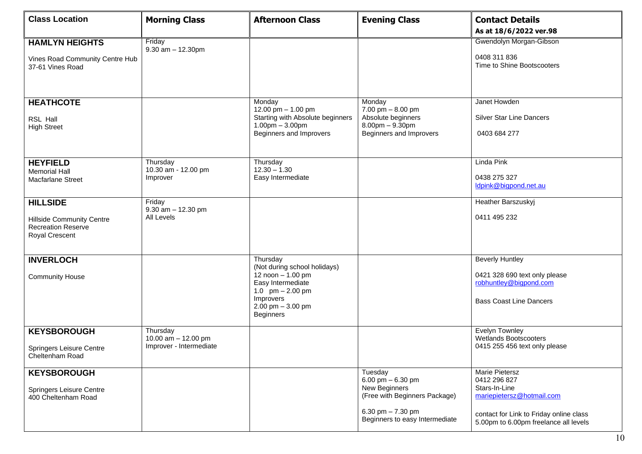| <b>Class Location</b>                                                                              | <b>Morning Class</b>                                       | <b>Afternoon Class</b>                                                                                                                                          | <b>Evening Class</b>                                                                                                                      | <b>Contact Details</b><br>As at 18/6/2022 ver.98                                                                                                                 |
|----------------------------------------------------------------------------------------------------|------------------------------------------------------------|-----------------------------------------------------------------------------------------------------------------------------------------------------------------|-------------------------------------------------------------------------------------------------------------------------------------------|------------------------------------------------------------------------------------------------------------------------------------------------------------------|
| <b>HAMLYN HEIGHTS</b><br>Vines Road Community Centre Hub<br>37-61 Vines Road                       | Friday<br>$9.30$ am $- 12.30$ pm                           |                                                                                                                                                                 |                                                                                                                                           | Gwendolyn Morgan-Gibson<br>0408 311 836<br>Time to Shine Bootscooters                                                                                            |
| <b>HEATHCOTE</b><br>RSL Hall<br><b>High Street</b>                                                 |                                                            | Monday<br>12.00 pm - 1.00 pm<br>Starting with Absolute beginners<br>$1.00pm - 3.00pm$<br>Beginners and Improvers                                                | Monday<br>$7.00$ pm $- 8.00$ pm<br>Absolute beginners<br>$8.00$ pm $- 9.30$ pm<br>Beginners and Improvers                                 | Janet Howden<br><b>Silver Star Line Dancers</b><br>0403 684 277                                                                                                  |
| <b>HEYFIELD</b><br><b>Memorial Hall</b><br><b>Macfarlane Street</b>                                | Thursday<br>10.30 am - 12.00 pm<br>Improver                | Thursday<br>$12.30 - 1.30$<br>Easy Intermediate                                                                                                                 |                                                                                                                                           | Linda Pink<br>0438 275 327<br>Idpink@bigpond.net.au                                                                                                              |
| <b>HILLSIDE</b><br><b>Hillside Community Centre</b><br><b>Recreation Reserve</b><br>Royal Crescent | Friday<br>$9.30$ am $- 12.30$ pm<br>All Levels             |                                                                                                                                                                 |                                                                                                                                           | Heather Barszuskyj<br>0411 495 232                                                                                                                               |
| <b>INVERLOCH</b><br><b>Community House</b>                                                         |                                                            | Thursday<br>(Not during school holidays)<br>12 noon - 1.00 pm<br>Easy Intermediate<br>1.0 $pm - 2.00 pm$<br>Improvers<br>2.00 pm $-3.00$ pm<br><b>Beginners</b> |                                                                                                                                           | <b>Beverly Huntley</b><br>0421 328 690 text only please<br>robhuntley@bigpond.com<br><b>Bass Coast Line Dancers</b>                                              |
| <b>KEYSBOROUGH</b><br>Springers Leisure Centre<br>Cheltenham Road                                  | Thursday<br>10.00 am - 12.00 pm<br>Improver - Intermediate |                                                                                                                                                                 |                                                                                                                                           | <b>Evelyn Townley</b><br><b>Wetlands Bootscooters</b><br>0415 255 456 text only please                                                                           |
| <b>KEYSBOROUGH</b><br>Springers Leisure Centre<br>400 Cheltenham Road                              |                                                            |                                                                                                                                                                 | Tuesday<br>6.00 pm $-$ 6.30 pm<br>New Beginners<br>(Free with Beginners Package)<br>6.30 pm $- 7.30$ pm<br>Beginners to easy Intermediate | Marie Pietersz<br>0412 296 827<br>Stars-In-Line<br>mariepietersz@hotmail.com<br>contact for Link to Friday online class<br>5.00pm to 6.00pm freelance all levels |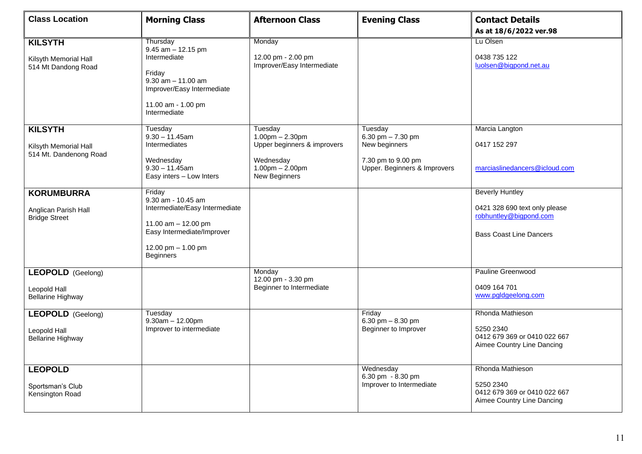| <b>Class Location</b>                                                | <b>Morning Class</b>                                                                                                                                            | <b>Afternoon Class</b>                                                                                             | <b>Evening Class</b>                                                                                  | <b>Contact Details</b><br>As at 18/6/2022 ver.98                                                                    |
|----------------------------------------------------------------------|-----------------------------------------------------------------------------------------------------------------------------------------------------------------|--------------------------------------------------------------------------------------------------------------------|-------------------------------------------------------------------------------------------------------|---------------------------------------------------------------------------------------------------------------------|
| <b>KILSYTH</b><br>Kilsyth Memorial Hall<br>514 Mt Dandong Road       | Thursday<br>$9.45$ am $-12.15$ pm<br>Intermediate<br>Friday<br>$9.30$ am $- 11.00$ am<br>Improver/Easy Intermediate<br>11.00 am - 1.00 pm<br>Intermediate       | Monday<br>12.00 pm - 2.00 pm<br>Improver/Easy Intermediate                                                         |                                                                                                       | Lu Olsen<br>0438 735 122<br>luolsen@bigpond.net.au                                                                  |
| <b>KILSYTH</b><br>Kilsyth Memorial Hall<br>514 Mt. Dandenong Road    | Tuesday<br>$9.30 - 11.45$ am<br>Intermediates<br>Wednesday<br>$9.30 - 11.45$ am<br>Easy inters - Low Inters                                                     | Tuesday<br>$1.00pm - 2.30pm$<br>Upper beginners & improvers<br>Wednesday<br>$1.00$ pm $- 2.00$ pm<br>New Beginners | Tuesday<br>6.30 pm $- 7.30$ pm<br>New beginners<br>7.30 pm to 9.00 pm<br>Upper. Beginners & Improvers | Marcia Langton<br>0417 152 297<br>marciaslinedancers@icloud.com                                                     |
| <b>KORUMBURRA</b><br>Anglican Parish Hall<br><b>Bridge Street</b>    | Friday<br>9.30 am - 10.45 am<br>Intermediate/Easy Intermediate<br>11.00 $am - 12.00$ pm<br>Easy Intermediate/Improver<br>12.00 pm - 1.00 pm<br><b>Beginners</b> |                                                                                                                    |                                                                                                       | <b>Beverly Huntley</b><br>0421 328 690 text only please<br>robhuntley@bigpond.com<br><b>Bass Coast Line Dancers</b> |
| <b>LEOPOLD</b> (Geelong)<br>Leopold Hall<br><b>Bellarine Highway</b> |                                                                                                                                                                 | Monday<br>12.00 pm - 3.30 pm<br>Beginner to Intermediate                                                           |                                                                                                       | Pauline Greenwood<br>0409 164 701<br>www.pgldgeelong.com                                                            |
| <b>LEOPOLD</b> (Geelong)<br>Leopold Hall<br><b>Bellarine Highway</b> | Tuesday<br>$9.30am - 12.00pm$<br>Improver to intermediate                                                                                                       |                                                                                                                    | Friday<br>6.30 pm $- 8.30$ pm<br>Beginner to Improver                                                 | Rhonda Mathieson<br>5250 2340<br>0412 679 369 or 0410 022 667<br>Aimee Country Line Dancing                         |
| <b>LEOPOLD</b><br>Sportsman's Club<br>Kensington Road                |                                                                                                                                                                 |                                                                                                                    | Wednesday<br>6.30 pm - 8.30 pm<br>Improver to Intermediate                                            | Rhonda Mathieson<br>5250 2340<br>0412 679 369 or 0410 022 667<br>Aimee Country Line Dancing                         |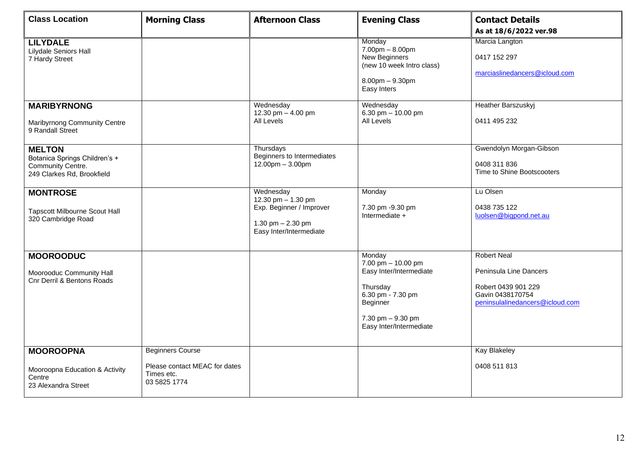| <b>Class Location</b>                                                                             | <b>Morning Class</b>                                                                   | <b>Afternoon Class</b>                                                                                        | <b>Evening Class</b>                                                                                                                                 | <b>Contact Details</b>                                                                                                     |
|---------------------------------------------------------------------------------------------------|----------------------------------------------------------------------------------------|---------------------------------------------------------------------------------------------------------------|------------------------------------------------------------------------------------------------------------------------------------------------------|----------------------------------------------------------------------------------------------------------------------------|
| <b>LILYDALE</b><br><b>Lilydale Seniors Hall</b><br>7 Hardy Street                                 |                                                                                        |                                                                                                               | Monday<br>$7.00 \text{pm} - 8.00 \text{pm}$<br>New Beginners<br>(new 10 week Intro class)<br>$8.00$ pm $-9.30$ pm<br>Easy Inters                     | As at 18/6/2022 ver.98<br>Marcia Langton<br>0417 152 297<br>marciaslinedancers@icloud.com                                  |
| <b>MARIBYRNONG</b><br>Maribyrnong Community Centre<br>9 Randall Street                            |                                                                                        | Wednesday<br>12.30 pm - 4.00 pm<br>All Levels                                                                 | Wednesday<br>6.30 pm $-$ 10.00 pm<br>All Levels                                                                                                      | <b>Heather Barszuskyj</b><br>0411 495 232                                                                                  |
| <b>MELTON</b><br>Botanica Springs Children's +<br>Community Centre.<br>249 Clarkes Rd, Brookfield |                                                                                        | Thursdays<br>Beginners to Intermediates<br>$12.00$ pm $- 3.00$ pm                                             |                                                                                                                                                      | Gwendolyn Morgan-Gibson<br>0408 311 836<br>Time to Shine Bootscooters                                                      |
| <b>MONTROSE</b><br><b>Tapscott Milbourne Scout Hall</b><br>320 Cambridge Road                     |                                                                                        | Wednesday<br>12.30 pm - 1.30 pm<br>Exp. Beginner / Improver<br>1.30 pm $- 2.30$ pm<br>Easy Inter/Intermediate | Monday<br>7.30 pm -9.30 pm<br>Intermediate +                                                                                                         | Lu Olsen<br>0438 735 122<br>luolsen@bigpond.net.au                                                                         |
| <b>MOOROODUC</b><br>Moorooduc Community Hall<br>Cnr Derril & Bentons Roads                        |                                                                                        |                                                                                                               | Monday<br>7.00 pm - 10.00 pm<br>Easy Inter/Intermediate<br>Thursday<br>6.30 pm - 7.30 pm<br>Beginner<br>7.30 pm - 9.30 pm<br>Easy Inter/Intermediate | <b>Robert Neal</b><br>Peninsula Line Dancers<br>Robert 0439 901 229<br>Gavin 0438170754<br>peninsulalinedancers@icloud.com |
| <b>MOOROOPNA</b><br>Mooroopna Education & Activity<br>Centre<br>23 Alexandra Street               | <b>Beginners Course</b><br>Please contact MEAC for dates<br>Times etc.<br>03 5825 1774 |                                                                                                               |                                                                                                                                                      | <b>Kay Blakeley</b><br>0408 511 813                                                                                        |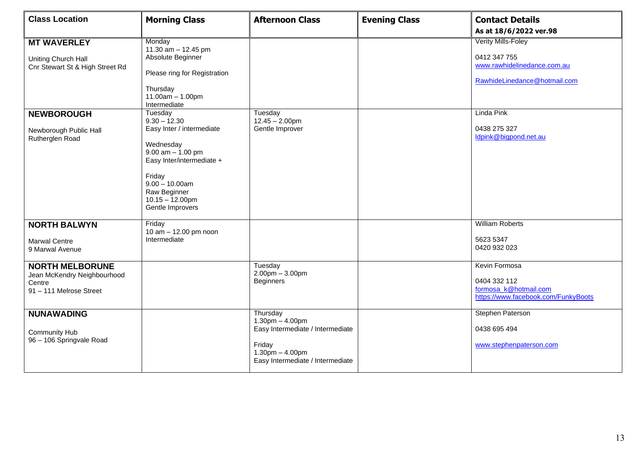| <b>Class Location</b>                                                                                                                          | <b>Morning Class</b>                                                                                                                                                                                                                                                                                                                                         | <b>Afternoon Class</b>                                                                                                                   | <b>Evening Class</b> | <b>Contact Details</b><br>As at 18/6/2022 ver.98                                                                                                                |
|------------------------------------------------------------------------------------------------------------------------------------------------|--------------------------------------------------------------------------------------------------------------------------------------------------------------------------------------------------------------------------------------------------------------------------------------------------------------------------------------------------------------|------------------------------------------------------------------------------------------------------------------------------------------|----------------------|-----------------------------------------------------------------------------------------------------------------------------------------------------------------|
| <b>MT WAVERLEY</b><br>Uniting Church Hall<br>Cnr Stewart St & High Street Rd<br><b>NEWBOROUGH</b><br>Newborough Public Hall<br>Rutherglen Road | Monday<br>11.30 $am - 12.45$ pm<br>Absolute Beginner<br>Please ring for Registration<br>Thursday<br>$11.00am - 1.00pm$<br>Intermediate<br>Tuesday<br>$9.30 - 12.30$<br>Easy Inter / intermediate<br>Wednesday<br>$9.00$ am $- 1.00$ pm<br>Easy Inter/intermediate +<br>Friday<br>$9.00 - 10.00$ am<br>Raw Beginner<br>$10.15 - 12.00$ pm<br>Gentle Improvers | Tuesday<br>$12.45 - 2.00$ pm<br>Gentle Improver                                                                                          |                      | <b>Verity Mills-Foley</b><br>0412 347 755<br>www.rawhidelinedance.com.au<br>RawhideLinedance@hotmail.com<br>Linda Pink<br>0438 275 327<br>Idpink@bigpond.net.au |
| <b>NORTH BALWYN</b><br><b>Marwal Centre</b><br>9 Marwal Avenue                                                                                 | Friday<br>10 am - 12.00 pm noon<br>Intermediate                                                                                                                                                                                                                                                                                                              | Tuesday                                                                                                                                  |                      | <b>William Roberts</b><br>5623 5347<br>0420 932 023<br>Kevin Formosa                                                                                            |
| <b>NORTH MELBORUNE</b><br>Jean McKendry Neighbourhood<br>Centre<br>91 - 111 Melrose Street                                                     |                                                                                                                                                                                                                                                                                                                                                              | $2.00$ pm $-3.00$ pm<br><b>Beginners</b>                                                                                                 |                      | 0404 332 112<br>formosa_k@hotmail.com<br>https://www.facebook.com/FunkyBoots                                                                                    |
| <b>NUNAWADING</b><br><b>Community Hub</b><br>96 - 106 Springvale Road                                                                          |                                                                                                                                                                                                                                                                                                                                                              | Thursday<br>$1.30$ pm $- 4.00$ pm<br>Easy Intermediate / Intermediate<br>Friday<br>$1.30pm - 4.00pm$<br>Easy Intermediate / Intermediate |                      | Stephen Paterson<br>0438 695 494<br>www.stephenpaterson.com                                                                                                     |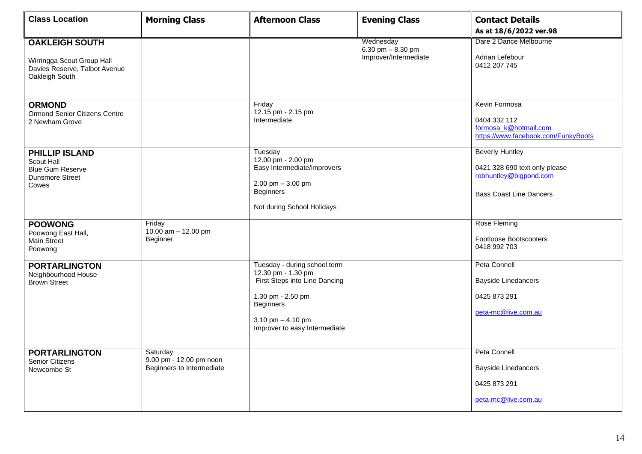| <b>Class Location</b>                                                                                  | <b>Morning Class</b>                                             | <b>Afternoon Class</b>                                                                                                                                                               | <b>Evening Class</b>                                     | <b>Contact Details</b>                                                                                              |
|--------------------------------------------------------------------------------------------------------|------------------------------------------------------------------|--------------------------------------------------------------------------------------------------------------------------------------------------------------------------------------|----------------------------------------------------------|---------------------------------------------------------------------------------------------------------------------|
|                                                                                                        |                                                                  |                                                                                                                                                                                      |                                                          | As at 18/6/2022 ver.98                                                                                              |
| <b>OAKLEIGH SOUTH</b><br>Wirringga Scout Group Hall<br>Davies Reserve, Talbot Avenue<br>Oakleigh South |                                                                  |                                                                                                                                                                                      | Wednesday<br>6.30 pm $-8.30$ pm<br>Improver/Intermediate | Dare 2 Dance Melbourne<br>Adrian Lefebour<br>0412 207 745                                                           |
| <b>ORMOND</b><br><b>Ormond Senior Citizens Centre</b><br>2 Newham Grove                                |                                                                  | Friday<br>12.15 pm - 2.15 pm<br>Intermediate                                                                                                                                         |                                                          | Kevin Formosa<br>0404 332 112<br>formosa k@hotmail.com<br>https://www.facebook.com/FunkyBoots                       |
| <b>PHILLIP ISLAND</b><br>Scout Hall<br><b>Blue Gum Reserve</b><br><b>Dunsmore Street</b><br>Cowes      |                                                                  | Tuesday<br>12.00 pm - 2.00 pm<br>Easy Intermediate/improvers<br>2.00 pm $-3.00$ pm<br><b>Beginners</b><br>Not during School Holidays                                                 |                                                          | <b>Beverly Huntley</b><br>0421 328 690 text only please<br>robhuntley@bigpond.com<br><b>Bass Coast Line Dancers</b> |
| <b>POOWONG</b><br>Poowong East Hall,<br>Main Street<br>Poowong                                         | Friday<br>10.00 am $-$ 12.00 pm<br>Beginner                      |                                                                                                                                                                                      |                                                          | Rose Fleming<br>Footloose Bootscooters<br>0418 992 703                                                              |
| <b>PORTARLINGTON</b><br>Neighbourhood House<br><b>Brown Street</b>                                     |                                                                  | Tuesday - during school term<br>12.30 pm - 1.30 pm<br>First Steps into Line Dancing<br>1.30 pm - 2.50 pm<br><b>Beginners</b><br>3.10 pm $-$ 4.10 pm<br>Improver to easy Intermediate |                                                          | Peta Connell<br><b>Bayside Linedancers</b><br>0425 873 291<br>peta-mc@live.com.au                                   |
| <b>PORTARLINGTON</b><br><b>Senior Citizens</b><br>Newcombe St                                          | Saturday<br>9.00 pm - 12.00 pm noon<br>Beginners to Intermediate |                                                                                                                                                                                      |                                                          | Peta Connell<br><b>Bayside Linedancers</b><br>0425 873 291<br>peta-mc@live.com.au                                   |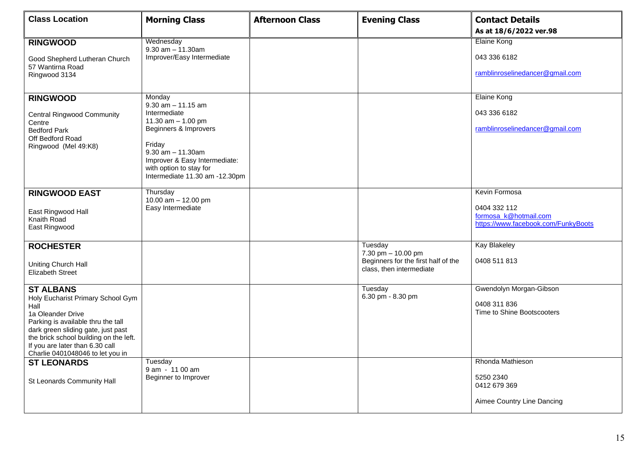| <b>Class Location</b>                                                                                                                                                                                                                                                           | <b>Morning Class</b>                                                                                                                                                                                                                | <b>Afternoon Class</b> | <b>Evening Class</b>                                                                  | <b>Contact Details</b><br>As at 18/6/2022 ver.98                                                              |
|---------------------------------------------------------------------------------------------------------------------------------------------------------------------------------------------------------------------------------------------------------------------------------|-------------------------------------------------------------------------------------------------------------------------------------------------------------------------------------------------------------------------------------|------------------------|---------------------------------------------------------------------------------------|---------------------------------------------------------------------------------------------------------------|
| <b>RINGWOOD</b><br>Good Shepherd Lutheran Church<br>57 Wantirna Road<br>Ringwood 3134                                                                                                                                                                                           | Wednesday<br>$9.30$ am $- 11.30$ am<br>Improver/Easy Intermediate                                                                                                                                                                   |                        |                                                                                       | <b>Elaine Kong</b><br>043 336 6182<br>ramblinroselinedancer@gmail.com                                         |
| <b>RINGWOOD</b><br><b>Central Ringwood Community</b><br>Centre<br><b>Bedford Park</b><br>Off Bedford Road<br>Ringwood (Mel 49:K8)                                                                                                                                               | Monday<br>$9.30$ am $- 11.15$ am<br>Intermediate<br>11.30 $am - 1.00$ pm<br>Beginners & Improvers<br>Friday<br>$9.30$ am $- 11.30$ am<br>Improver & Easy Intermediate:<br>with option to stay for<br>Intermediate 11.30 am -12.30pm |                        |                                                                                       | Elaine Kong<br>043 336 6182<br>ramblinroselinedancer@gmail.com                                                |
| <b>RINGWOOD EAST</b><br>East Ringwood Hall<br>Knaith Road<br>East Ringwood<br><b>ROCHESTER</b>                                                                                                                                                                                  | Thursday<br>10.00 $am - 12.00 pm$<br>Easy Intermediate                                                                                                                                                                              |                        | Tuesday                                                                               | Kevin Formosa<br>0404 332 112<br>formosa_k@hotmail.com<br>https://www.facebook.com/FunkyBoots<br>Kay Blakeley |
| Uniting Church Hall<br><b>Elizabeth Street</b>                                                                                                                                                                                                                                  |                                                                                                                                                                                                                                     |                        | 7.30 pm - 10.00 pm<br>Beginners for the first half of the<br>class, then intermediate | 0408 511 813                                                                                                  |
| <b>ST ALBANS</b><br>Holy Eucharist Primary School Gym<br>Hall<br>1a Oleander Drive<br>Parking is available thru the tall<br>dark green sliding gate, just past<br>the brick school building on the left.<br>If you are later than 6.30 call<br>Charlie 0401048046 to let you in |                                                                                                                                                                                                                                     |                        | Tuesday<br>6.30 pm - 8.30 pm                                                          | Gwendolyn Morgan-Gibson<br>0408 311 836<br>Time to Shine Bootscooters                                         |
| <b>ST LEONARDS</b><br>St Leonards Community Hall                                                                                                                                                                                                                                | Tuesday<br>9 am - 11 00 am<br>Beginner to Improver                                                                                                                                                                                  |                        |                                                                                       | Rhonda Mathieson<br>5250 2340<br>0412 679 369<br>Aimee Country Line Dancing                                   |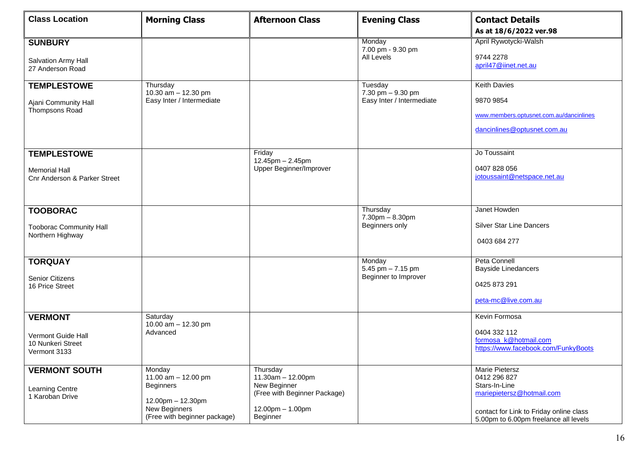| <b>Class Location</b>                                                                 | <b>Morning Class</b>                                                                                                    | <b>Afternoon Class</b>                                                                                        | <b>Evening Class</b>                                      | <b>Contact Details</b><br>As at 18/6/2022 ver.98                                                                                                                        |
|---------------------------------------------------------------------------------------|-------------------------------------------------------------------------------------------------------------------------|---------------------------------------------------------------------------------------------------------------|-----------------------------------------------------------|-------------------------------------------------------------------------------------------------------------------------------------------------------------------------|
| <b>SUNBURY</b><br>Salvation Army Hall<br>27 Anderson Road                             |                                                                                                                         |                                                                                                               | Monday<br>7.00 pm - 9.30 pm<br>All Levels                 | April Rywotycki-Walsh<br>9744 2278<br>april47@iinet.net.au                                                                                                              |
| <b>TEMPLESTOWE</b><br>Ajani Community Hall<br>Thompsons Road                          | Thursday<br>10.30 am - 12.30 pm<br>Easy Inter / Intermediate                                                            |                                                                                                               | Tuesday<br>7.30 pm - 9.30 pm<br>Easy Inter / Intermediate | <b>Keith Davies</b><br>9870 9854<br>www.members.optusnet.com.au/dancinlines<br>dancinlines@optusnet.com.au                                                              |
| <b>TEMPLESTOWE</b><br><b>Memorial Hall</b><br><b>Cnr Anderson &amp; Parker Street</b> |                                                                                                                         | Friday<br>12.45pm - 2.45pm<br>Upper Beginner/Improver                                                         |                                                           | Jo Toussaint<br>0407 828 056<br>jotoussaint@netspace.net.au                                                                                                             |
| <b>TOOBORAC</b><br><b>Tooborac Community Hall</b><br>Northern Highway                 |                                                                                                                         |                                                                                                               | Thursday<br>$7.30pm - 8.30pm$<br>Beginners only           | Janet Howden<br><b>Silver Star Line Dancers</b><br>0403 684 277                                                                                                         |
| <b>TORQUAY</b><br>Senior Citizens<br>16 Price Street                                  |                                                                                                                         |                                                                                                               | Monday<br>5.45 pm $- 7.15$ pm<br>Beginner to Improver     | Peta Connell<br><b>Bayside Linedancers</b><br>0425 873 291<br>peta-mc@live.com.au                                                                                       |
| <b>VERMONT</b><br>Vermont Guide Hall<br>10 Nunkeri Street<br>Vermont 3133             | Saturday<br>10.00 am - 12.30 pm<br>Advanced                                                                             |                                                                                                               |                                                           | Kevin Formosa<br>0404 332 112<br>formosa_k@hotmail.com<br>https://www.facebook.com/FunkyBoots                                                                           |
| <b>VERMONT SOUTH</b><br><b>Learning Centre</b><br>1 Karoban Drive                     | Monday<br>11.00 am - 12.00 pm<br><b>Beginners</b><br>12.00pm - 12.30pm<br>New Beginners<br>(Free with beginner package) | Thursday<br>11.30am - 12.00pm<br>New Beginner<br>(Free with Beginner Package)<br>12.00pm - 1.00pm<br>Beginner |                                                           | <b>Marie Pietersz</b><br>0412 296 827<br>Stars-In-Line<br>mariepietersz@hotmail.com<br>contact for Link to Friday online class<br>5.00pm to 6.00pm freelance all levels |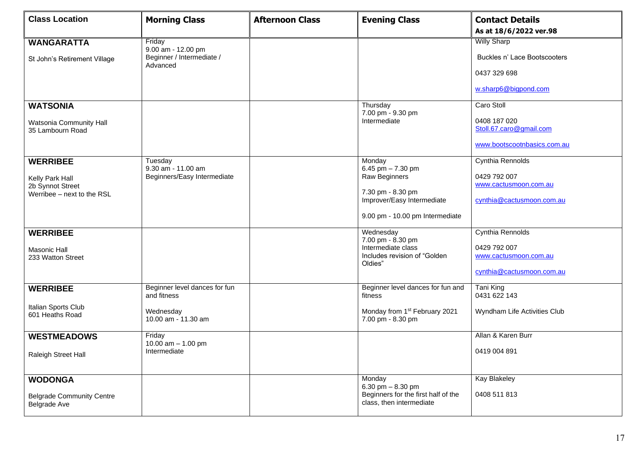| <b>Class Location</b>                                   | <b>Morning Class</b>                         | <b>Afternoon Class</b> | <b>Evening Class</b>                                            | <b>Contact Details</b>                  |
|---------------------------------------------------------|----------------------------------------------|------------------------|-----------------------------------------------------------------|-----------------------------------------|
|                                                         |                                              |                        |                                                                 | As at 18/6/2022 ver.98                  |
| <b>WANGARATTA</b>                                       | Friday<br>9.00 am - 12.00 pm                 |                        |                                                                 | <b>Willy Sharp</b>                      |
| St John's Retirement Village                            | Beginner / Intermediate /<br>Advanced        |                        |                                                                 | Buckles n' Lace Bootscooters            |
|                                                         |                                              |                        |                                                                 | 0437 329 698                            |
|                                                         |                                              |                        |                                                                 | w.sharp6@bigpond.com                    |
| <b>WATSONIA</b>                                         |                                              |                        | Thursday<br>7.00 pm - 9.30 pm                                   | Caro Stoll                              |
| Watsonia Community Hall<br>35 Lambourn Road             |                                              |                        | Intermediate                                                    | 0408 187 020<br>Stoll.67.caro@gmail.com |
|                                                         |                                              |                        |                                                                 | www.bootscootnbasics.com.au             |
| <b>WERRIBEE</b>                                         | Tuesday<br>9.30 am - 11.00 am                |                        | Monday<br>6.45 pm $- 7.30$ pm                                   | Cynthia Rennolds                        |
| Kelly Park Hall                                         | Beginners/Easy Intermediate                  |                        | Raw Beginners                                                   | 0429 792 007                            |
| 2b Synnot Street<br>Werribee - next to the RSL          |                                              |                        | 7.30 pm - 8.30 pm                                               | www.cactusmoon.com.au                   |
|                                                         |                                              |                        | Improver/Easy Intermediate                                      | cynthia@cactusmoon.com.au               |
|                                                         |                                              |                        | 9.00 pm - 10.00 pm Intermediate                                 |                                         |
| <b>WERRIBEE</b>                                         |                                              |                        | Wednesday<br>7.00 pm - 8.30 pm                                  | Cynthia Rennolds                        |
| <b>Masonic Hall</b>                                     |                                              |                        | Intermediate class                                              | 0429 792 007                            |
| 233 Watton Street                                       |                                              |                        | Includes revision of "Golden<br>Oldies"                         | www.cactusmoon.com.au                   |
|                                                         |                                              |                        |                                                                 | cynthia@cactusmoon.com.au               |
| <b>WERRIBEE</b>                                         | Beginner level dances for fun<br>and fitness |                        | Beginner level dances for fun and<br>fitness                    | Tani King<br>0431 622 143               |
| Italian Sports Club<br>601 Heaths Road                  | Wednesday<br>10.00 am - 11.30 am             |                        | Monday from 1 <sup>st</sup> February 2021<br>7.00 pm - 8.30 pm  | Wyndham Life Activities Club            |
| <b>WESTMEADOWS</b>                                      | Friday<br>10.00 $am - 1.00$ pm               |                        |                                                                 | Allan & Karen Burr                      |
| Raleigh Street Hall                                     | Intermediate                                 |                        |                                                                 | 0419 004 891                            |
|                                                         |                                              |                        |                                                                 |                                         |
| <b>WODONGA</b>                                          |                                              |                        | Monday<br>6.30 pm $-8.30$ pm                                    | Kay Blakeley                            |
| <b>Belgrade Community Centre</b><br><b>Belgrade Ave</b> |                                              |                        | Beginners for the first half of the<br>class, then intermediate | 0408 511 813                            |
|                                                         |                                              |                        |                                                                 |                                         |